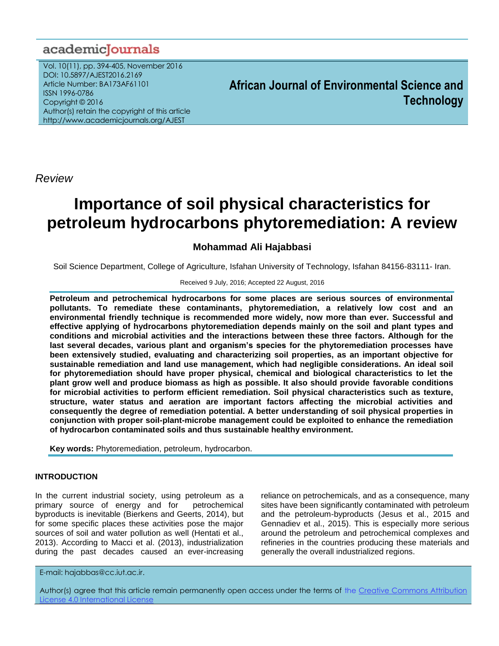## academiclournals

Vol. 10(11), pp. 394-405, November 2016 DOI: 10.5897/AJEST2016.2169 Article Number: BA173AF61101 ISSN 1996-0786 Copyright © 2016 Author(s) retain the copyright of this article http://www.academicjournals.org/AJEST

**African Journal of Environmental Science and Technology**

*Review*

# **Importance of soil physical characteristics for petroleum hydrocarbons phytoremediation: A review**

### **Mohammad Ali Hajabbasi**

Soil Science Department, College of Agriculture, Isfahan University of Technology, Isfahan 84156-83111- Iran.

#### Received 9 July, 2016; Accepted 22 August, 2016

**Petroleum and petrochemical hydrocarbons for some places are serious sources of environmental pollutants. To remediate these contaminants, phytoremediation, a relatively low cost and an environmental friendly technique is recommended more widely, now more than ever. Successful and effective applying of hydrocarbons phytoremediation depends mainly on the soil and plant types and conditions and microbial activities and the interactions between these three factors. Although for the last several decades, various plant and organism's species for the phytoremediation processes have been extensively studied, evaluating and characterizing soil properties, as an important objective for sustainable remediation and land use management, which had negligible considerations. An ideal soil for phytoremediation should have proper physical, chemical and biological characteristics to let the plant grow well and produce biomass as high as possible. It also should provide favorable conditions for microbial activities to perform efficient remediation. Soil physical characteristics such as texture, structure, water status and aeration are important factors affecting the microbial activities and consequently the degree of remediation potential. A better understanding of soil physical properties in conjunction with proper soil-plant-microbe management could be exploited to enhance the remediation of hydrocarbon contaminated soils and thus sustainable healthy environment.**

**Key words:** Phytoremediation, petroleum, hydrocarbon.

#### **INTRODUCTION**

In the current industrial society, using petroleum as a primary source of energy and for petrochemical byproducts is inevitable (Bierkens and Geerts, 2014), but for some specific places these activities pose the major sources of soil and water pollution as well (Hentati et al., 2013). According to Macci et al. (2013), industrialization during the past decades caused an ever-increasing reliance on petrochemicals, and as a consequence, many sites have been significantly contaminated with petroleum and the petroleum-byproducts (Jesus et al., 2015 and Gennadiev et al., 2015). This is especially more serious around the petroleum and petrochemical complexes and refineries in the countries producing these materials and generally the overall industrialized regions.

E-mail: hajabbas@cc.iut.ac.ir.

Author(s) agree that this article remain permanently open access under the terms of the Creative Commons Attribution License 4.0 International License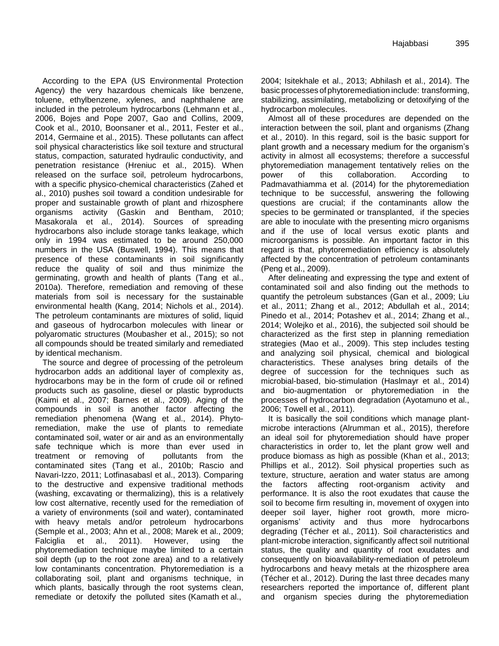According to the EPA (US Environmental Protection Agency) the very hazardous chemicals like benzene, toluene, ethylbenzene, xylenes, and naphthalene are included in the petroleum hydrocarbons (Lehmann et al., 2006, Bojes and Pope 2007, Gao and Collins, 2009, Cook et al., 2010, Boonsaner et al., 2011, Fester et al., 2014, Germaine et al., 2015). These pollutants can affect soil physical characteristics like soil texture and structural status, compaction, saturated hydraulic conductivity, and penetration resistance (Hreniuc et al., 2015). When released on the surface soil, petroleum hydrocarbons, with a specific physico-chemical characteristics (Zahed et al., 2010) pushes soil toward a condition undesirable for proper and sustainable growth of plant and rhizosphere organisms activity (Gaskin and Bentham, 2010; Masakorala et al., 2014). Sources of spreading hydrocarbons also include storage tanks leakage, which only in 1994 was estimated to be around 250,000 numbers in the USA (Buswell, 1994). This means that presence of these contaminants in soil significantly reduce the quality of soil and thus minimize the germinating, growth and health of plants (Tang et al., 2010a). Therefore, remediation and removing of these materials from soil is necessary for the sustainable environmental health (Kang, 2014; Nichols et al., 2014). The petroleum contaminants are mixtures of solid, liquid and gaseous of hydrocarbon molecules with linear or polyaromatic structures (Moubasher et al., 2015); so not all compounds should be treated similarly and remediated by identical mechanism.

The source and degree of processing of the petroleum hydrocarbon adds an additional layer of complexity as, hydrocarbons may be in the form of crude oil or refined products such as gasoline, diesel or plastic byproducts (Kaimi et al., 2007; Barnes et al., 2009). Aging of the compounds in soil is another factor affecting the remediation phenomena (Wang et al., 2014). Phytoremediation, make the use of plants to remediate contaminated soil, water or air and as an environmentally safe technique which is more than ever used in treatment or removing of pollutants from the contaminated sites (Tang et al., 2010b; Rascio and Navari-Izzo, 2011; Lotfinasabasl et al., 2013). Comparing to the destructive and expensive traditional methods (washing, excavating or thermalizing), this is a relatively low cost alternative, recently used for the remediation of a variety of environments (soil and water), contaminated with heavy metals and/or petroleum hydrocarbons (Semple et al., 2003; Ahn et al., 2008; Marek et al., 2009; Falciglia et al., 2011). However, using the phytoremediation technique maybe limited to a certain soil depth (up to the root zone area) and to a relatively low contaminants concentration. Phytoremediation is a collaborating soil, plant and organisms technique, in which plants, basically through the root systems clean, remediate or detoxify the polluted sites (Kamath et al.,

2004; Isitekhale et al., 2013; Abhilash et al., 2014). The basic processes of phytoremediation include: transforming, stabilizing, assimilating, metabolizing or detoxifying of the hydrocarbon molecules.

Almost all of these procedures are depended on the interaction between the soil, plant and organisms (Zhang et al., 2010). In this regard, soil is the basic support for plant growth and a necessary medium for the organism's activity in almost all ecosystems; therefore a successful phytoremediation management tentatively relies on the power of this collaboration. According to Padmavathiamma et al. (2014) for the phytoremediation technique to be successful, answering the following questions are crucial; if the contaminants allow the species to be germinated or transplanted, if the species are able to inoculate with the presenting micro organisms and if the use of local versus exotic plants and microorganisms is possible. An important factor in this regard is that, phytoremediation efficiency is absolutely affected by the concentration of petroleum contaminants (Peng et al., 2009).

After delineating and expressing the type and extent of contaminated soil and also finding out the methods to quantify the petroleum substances (Gan et al., 2009; Liu et al., 2011; Zhang et al., 2012; Abdullah et al., 2014; Pinedo et al., 2014; Potashev et al., 2014; Zhang et al., 2014; Wolejko et al., 2016), the subjected soil should be characterized as the first step in planning remediation strategies (Mao et al., 2009). This step includes testing and analyzing soil physical, chemical and biological characteristics. These analyses bring details of the degree of succession for the techniques such as microbial-based, bio-stimulation (Haslmayr et al., 2014) and bio-augmentation or phytoremediation in the processes of hydrocarbon degradation (Ayotamuno et al., 2006; Towell et al., 2011).

It is basically the soil conditions which manage plantmicrobe interactions (Alrumman et al., 2015), therefore an ideal soil for phytoremediation should have proper characteristics in order to, let the plant grow well and produce biomass as high as possible (Khan et al., 2013; Phillips et al., 2012). Soil physical properties such as texture, structure, aeration and water status are among the factors affecting root-organism activity and performance. It is also the root exudates that cause the soil to become firm resulting in, movement of oxygen into deeper soil layer, higher root growth, more microorganisms' activity and thus more hydrocarbons degrading (Técher et al., 2011). Soil characteristics and plant-microbe interaction, significantly affect soil nutritional status, the quality and quantity of root exudates and consequently on bioavailability-remediation of petroleum hydrocarbons and heavy metals at the rhizosphere area (Técher et al., 2012). During the last three decades many researchers reported the importance of, different plant and organism species during the phytoremediation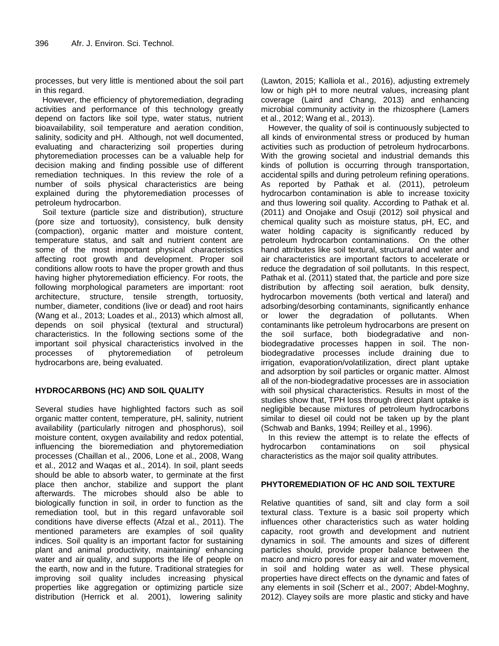processes, but very little is mentioned about the soil part in this regard.

However, the efficiency of phytoremediation, degrading activities and performance of this technology greatly depend on factors like soil type, water status, nutrient bioavailability, soil temperature and aeration condition, salinity, sodicity and pH. Although, not well documented, evaluating and characterizing soil properties during phytoremediation processes can be a valuable help for decision making and finding possible use of different remediation techniques. In this review the role of a number of soils physical characteristics are being explained during the phytoremediation processes of petroleum hydrocarbon.

Soil texture (particle size and distribution), structure (pore size and tortuosity), consistency, bulk density (compaction), organic matter and moisture content, temperature status, and salt and nutrient content are some of the most important physical characteristics affecting root growth and development. Proper soil conditions allow roots to have the proper growth and thus having higher phytoremediation efficiency. For roots, the following morphological parameters are important: root architecture, structure, tensile strength, tortuosity, number, diameter, conditions (live or dead) and root hairs (Wang et al., 2013; Loades et al., 2013) which almost all, depends on soil physical (textural and structural) characteristics. In the following sections some of the important soil physical characteristics involved in the processes of phytoremediation of petroleum hydrocarbons are, being evaluated.

#### **HYDROCARBONS (HC) AND SOIL QUALITY**

Several studies have highlighted factors such as soil organic matter content, temperature, pH, salinity, nutrient availability (particularly nitrogen and phosphorus), soil moisture content, oxygen availability and redox potential, influencing the bioremediation and phytoremediation processes (Chaillan et al., 2006, Lone et al., 2008, Wang et al., 2012 and Waqas et al., 2014). In soil, plant seeds should be able to absorb water, to germinate at the first place then anchor, stabilize and support the plant afterwards. The microbes should also be able to biologically function in soil, in order to function as the remediation tool, but in this regard unfavorable soil conditions have diverse effects (Afzal et al., 2011). The mentioned parameters are examples of soil quality indices. Soil quality is an important factor for sustaining plant and animal productivity, maintaining/ enhancing water and air quality, and supports the life of people on the earth, now and in the future. Traditional strategies for improving soil quality includes increasing physical properties like aggregation or optimizing particle size distribution (Herrick et al. 2001), lowering salinity

(Lawton, 2015; Kalliola et al., 2016), adjusting extremely low or high pH to more neutral values, increasing plant coverage (Laird and Chang, 2013) and enhancing microbial community activity in the rhizosphere (Lamers et al., 2012; Wang et al., 2013).

However, the quality of soil is continuously subjected to all kinds of environmental stress or produced by human activities such as production of petroleum hydrocarbons. With the growing societal and industrial demands this kinds of pollution is occurring through transportation, accidental spills and during petroleum refining operations. As reported by Pathak et al. (2011), petroleum hydrocarbon contamination is able to increase toxicity and thus lowering soil quality. According to Pathak et al. (2011) and Onojake and Osuji (2012) soil physical and chemical quality such as moisture status, pH, EC, and water holding capacity is significantly reduced by petroleum hydrocarbon contaminations. On the other hand attributes like soil textural, structural and water and air characteristics are important factors to accelerate or reduce the degradation of soil pollutants. In this respect, Pathak et al. (2011) stated that, the particle and pore size distribution by affecting soil aeration, bulk density, hydrocarbon movements (both vertical and lateral) and adsorbing/desorbing contaminants, significantly enhance or lower the degradation of pollutants. When contaminants like petroleum hydrocarbons are present on the soil surface, both biodegradative and nonbiodegradative processes happen in soil. The nonbiodegradative processes include draining due to irrigation, evaporation/volatilization, direct plant uptake and adsorption by soil particles or organic matter. Almost all of the non-biodegradative processes are in association with soil physical characteristics. Results in most of the studies show that, TPH loss through direct plant uptake is negligible because mixtures of petroleum hydrocarbons similar to diesel oil could not be taken up by the plant (Schwab and Banks, 1994; Reilley et al., 1996).

In this review the attempt is to relate the effects of hydrocarbon contaminations on soil physical characteristics as the major soil quality attributes.

#### **PHYTOREMEDIATION OF HC AND SOIL TEXTURE**

Relative quantities of sand, silt and clay form a soil textural class. Texture is a basic soil property which influences other characteristics such as water holding capacity, root growth and development and nutrient dynamics in soil. The amounts and sizes of different particles should, provide proper balance between the macro and micro pores for easy air and water movement, in soil and holding water as well. These physical properties have direct effects on the dynamic and fates of any elements in soil (Scherr et al., 2007; Abdel-Moghny, 2012). Clayey soils are more plastic and sticky and have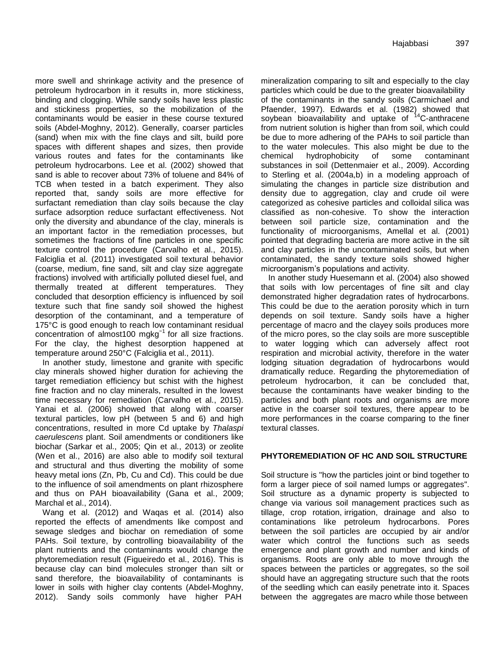more swell and shrinkage activity and the presence of petroleum hydrocarbon in it results in, more stickiness, binding and clogging. While sandy soils have less plastic and stickiness properties, so the mobilization of the contaminants would be easier in these course textured soils (Abdel-Moghny, 2012). Generally, coarser particles (sand) when mix with the fine clays and silt, build pore spaces with different shapes and sizes, then provide various routes and fates for the contaminants like petroleum hydrocarbons. Lee et al. (2002) showed that sand is able to recover about 73% of toluene and 84% of TCB when tested in a batch experiment. They also reported that, sandy soils are more effective for surfactant remediation than clay soils because the clay surface adsorption reduce surfactant effectiveness. Not only the diversity and abundance of the clay, minerals is an important factor in the remediation processes, but sometimes the fractions of fine particles in one specific texture control the procedure (Carvalho et al., 2015). Falciglia et al. (2011) investigated soil textural behavior (coarse, medium, fine sand, silt and clay size aggregate fractions) involved with artificially polluted diesel fuel, and thermally treated at different temperatures. They concluded that desorption efficiency is influenced by soil texture such that fine sandy soil showed the highest desorption of the contaminant, and a temperature of 175°C is good enough to reach low contaminant residual concentration of almost100 mgkg<sup>-1</sup> for all size fractions. For the clay, the highest desorption happened at temperature around 250°C (Falciglia et al., 2011).

In another study, limestone and granite with specific clay minerals showed higher duration for achieving the target remediation efficiency but schist with the highest fine fraction and no clay minerals, resulted in the lowest time necessary for remediation (Carvalho et al., 2015). Yanai et al. (2006) showed that along with coarser textural particles, low pH (between 5 and 6) and high concentrations, resulted in more Cd uptake by *Thalaspi caerulescens* plant. Soil amendments or conditioners like biochar (Sarkar et al., 2005; Qin et al., 2013) or zeolite (Wen et al., 2016) are also able to modify soil textural and structural and thus diverting the mobility of some heavy metal ions (Zn, Pb, Cu and Cd). This could be due to the influence of soil amendments on plant rhizosphere and thus on PAH bioavailability (Gana et al., 2009; Marchal et al., 2014).

Wang et al. (2012) and Waqas et al. (2014) also reported the effects of amendments like compost and sewage sledges and biochar on remediation of some PAHs. Soil texture, by controlling bioavailability of the plant nutrients and the contaminants would change the phytoremediation result (Figueiredo et al., 2016). This is because clay can bind molecules stronger than silt or sand therefore, the bioavailability of contaminants is lower in soils with higher clay contents (Abdel-Moghny, 2012). Sandy soils commonly have higher PAH

mineralization comparing to silt and especially to the clay particles which could be due to the greater bioavailability of the contaminants in the sandy soils (Carmichael and Pfaender, 1997). Edwards et al. (1982) showed that soybean bioavailability and uptake of  $14^{\circ}$ C-anthracene from nutrient solution is higher than from soil, which could be due to more adhering of the PAHs to soil particle than to the water molecules. This also might be due to the chemical hydrophobicity of some contaminant substances in soil (Dettenmaier et al., 2009). According to Sterling et al. (2004a,b) in a modeling approach of simulating the changes in particle size distribution and density due to aggregation, clay and crude oil were categorized as cohesive particles and colloidal silica was classified as non-cohesive. To show the interaction between soil particle size, contamination and the functionality of microorganisms, Amellal et al. (2001) pointed that degrading bacteria are more active in the silt and clay particles in the uncontaminated soils, but when contaminated, the sandy texture soils showed higher microorganism's populations and activity.

In another study Huesemann et al. (2004) also showed that soils with low percentages of fine silt and clay demonstrated higher degradation rates of hydrocarbons. This could be due to the aeration porosity which in turn depends on soil texture. Sandy soils have a higher percentage of macro and the clayey soils produces more of the micro pores, so the clay soils are more susceptible to water logging which can adversely affect root respiration and microbial activity, therefore in the water lodging situation degradation of hydrocarbons would dramatically reduce. Regarding the phytoremediation of petroleum hydrocarbon, it can be concluded that, because the contaminants have weaker binding to the particles and both plant roots and organisms are more active in the coarser soil textures, there appear to be more performances in the coarse comparing to the finer textural classes.

#### **PHYTOREMEDIATION OF HC AND SOIL STRUCTURE**

Soil structure is "how the particles joint or bind together to form a larger piece of soil named lumps or aggregates". Soil structure as a dynamic property is subjected to change via various soil management practices such as tillage, crop rotation, irrigation, drainage and also to contaminations like petroleum hydrocarbons. Pores between the soil particles are occupied by air and/or water which control the functions such as seeds emergence and plant growth and number and kinds of organisms. Roots are only able to move through the spaces between the particles or aggregates, so the soil should have an aggregating structure such that the roots of the seedling which can easily penetrate into it. Spaces between the aggregates are macro while those between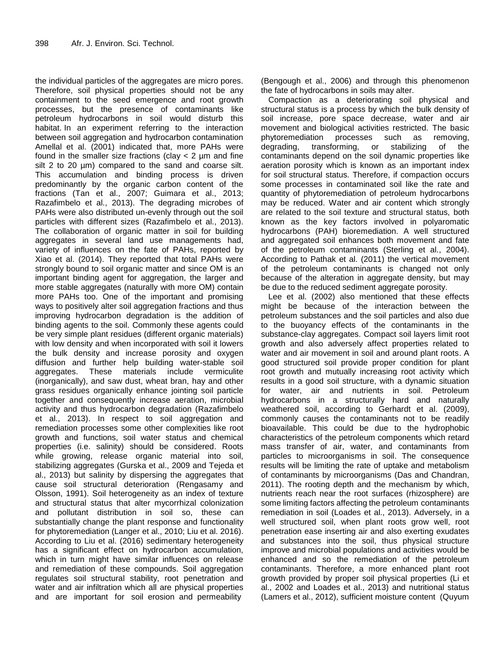the individual particles of the aggregates are micro pores. Therefore, soil physical properties should not be any containment to the seed emergence and root growth processes, but the presence of contaminants like petroleum hydrocarbons in soil would disturb this habitat. In an experiment referring to the interaction between soil aggregation and hydrocarbon contamination Amellal et al. (2001) indicated that, more PAHs were found in the smaller size fractions (clay  $<$  2  $\mu$ m and fine silt 2 to 20 µm) compared to the sand and coarse silt. This accumulation and binding process is driven predominantly by the organic carbon content of the fractions (Tan et al., 2007; Guimara et al., 2013; Razafimbelo et al., 2013). The degrading microbes of PAHs were also distributed un-evenly through out the soil particles with different sizes (Razafimbelo et al., 2013). The collaboration of organic matter in soil for building aggregates in several land use managements had, variety of influences on the fate of PAHs, reported by Xiao et al. (2014). They reported that total PAHs were strongly bound to soil organic matter and since OM is an important binding agent for aggregation, the larger and more stable aggregates (naturally with more OM) contain more PAHs too. One of the important and promising ways to positively alter soil aggregation fractions and thus improving hydrocarbon degradation is the addition of binding agents to the soil. Commonly these agents could be very simple plant residues (different organic materials) with low density and when incorporated with soil it lowers the bulk density and increase porosity and oxygen diffusion and further help building water-stable soil aggregates. These materials include vermiculite (inorganically), and saw dust, wheat bran, hay and other grass residues organically enhance jointing soil particle together and consequently increase aeration, microbial activity and thus hydrocarbon degradation (Razafimbelo et al., 2013). In respect to soil aggregation and remediation processes some other complexities like root growth and functions, soil water status and chemical properties (i.e. salinity) should be considered. Roots while growing, release organic material into soil, stabilizing aggregates (Gurska et al., 2009 and Tejeda et al., 2013) but salinity by dispersing the aggregates that cause soil structural deterioration (Rengasamy and Olsson, 1991). Soil heterogeneity as an index of texture and structural status that alter mycorrhizal colonization and pollutant distribution in soil so, these can substantially change the plant response and functionality for phytoremediation (Langer et al., 2010; Liu et al. 2016). According to Liu et al. (2016) sedimentary heterogeneity has a significant effect on hydrocarbon accumulation, which in turn might have similar influences on release and remediation of these compounds. Soil aggregation regulates soil structural stability, root penetration and water and air infiltration which all are physical properties and are important for soil erosion and permeability

(Bengough et al., 2006) and through this phenomenon the fate of hydrocarbons in soils may alter.

Compaction as a deteriorating soil physical and structural status is a process by which the bulk density of soil increase, pore space decrease, water and air movement and biological activities restricted. The basic phytoremediation processes such as removing, degrading, transforming, or stabilizing of the contaminants depend on the soil dynamic properties like aeration porosity which is known as an important index for soil structural status. Therefore, if compaction occurs some processes in contaminated soil like the rate and quantity of phytoremediation of petroleum hydrocarbons may be reduced. Water and air content which strongly are related to the soil texture and structural status, both known as the key factors involved in polyaromatic hydrocarbons (PAH) bioremediation. A well structured and aggregated soil enhances both movement and fate of the petroleum contaminants (Sterling et al., 2004). According to Pathak et al. (2011) the vertical movement of the petroleum contaminants is changed not only because of the alteration in aggregate density, but may be due to the reduced sediment aggregate porosity.

Lee et al. (2002) also mentioned that these effects might be because of the interaction between the petroleum substances and the soil particles and also due to the buoyancy effects of the contaminants in the substance-clay aggregates. Compact soil layers limit root growth and also adversely affect properties related to water and air movement in soil and around plant roots. A good structured soil provide proper condition for plant root growth and mutually increasing root activity which results in a good soil structure, with a dynamic situation for water, air and nutrients in soil. Petroleum hydrocarbons in a structurally hard and naturally weathered soil, according to Gerhardt et al. (2009), commonly causes the contaminants not to be readily bioavailable. This could be due to the hydrophobic characteristics of the petroleum components which retard mass transfer of air, water, and contaminants from particles to microorganisms in soil. The consequence results will be limiting the rate of uptake and metabolism of contaminants by microorganisms (Das and Chandran, 2011). The rooting depth and the mechanism by which, nutrients reach near the root surfaces (rhizosphere) are some limiting factors affecting the petroleum contaminants remediation in soil (Loades et al., 2013). Adversely, in a well structured soil, when plant roots grow well, root penetration ease inserting air and also exerting exudates and substances into the soil, thus physical structure improve and microbial populations and activities would be enhanced and so the remediation of the petroleum contaminants. Therefore, a more enhanced plant root growth provided by proper soil physical properties (Li et al., 2002 and Loades et al., 2013) and nutritional status (Lamers et al., 2012), sufficient moisture content (Quyum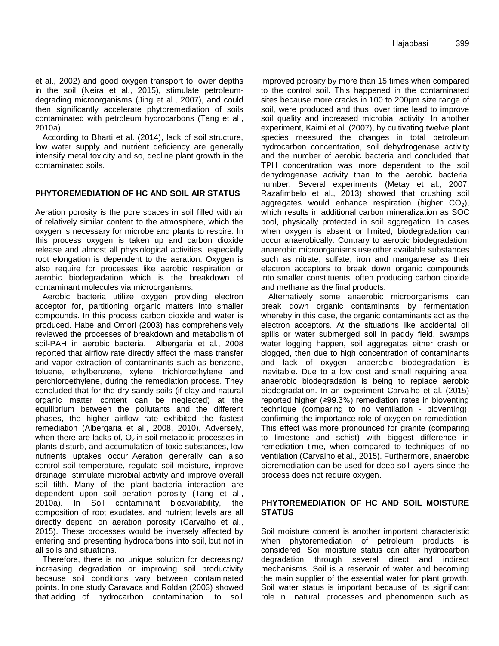et al., 2002) and good oxygen transport to lower depths in the soil (Neira et al., 2015), stimulate petroleumdegrading microorganisms (Jing et al., 2007), and could then significantly accelerate phytoremediation of soils contaminated with petroleum hydrocarbons (Tang et al., 2010a).

According to Bharti et al. (2014), lack of soil structure, low water supply and nutrient deficiency are generally intensify metal toxicity and so, decline plant growth in the contaminated soils.

#### **PHYTOREMEDIATION OF HC AND SOIL AIR STATUS**

Aeration porosity is the pore spaces in soil filled with air of relatively similar content to the atmosphere, which the oxygen is necessary for microbe and plants to respire. In this process oxygen is taken up and carbon dioxide release and almost all physiological activities, especially root elongation is dependent to the aeration. Oxygen is also require for processes like aerobic respiration or aerobic biodegradation which is the breakdown of contaminant molecules via microorganisms.

Aerobic bacteria utilize oxygen providing electron acceptor for, partitioning organic matters into smaller compounds. In this process carbon dioxide and water is produced. Habe and Omori (2003) has comprehensively reviewed the processes of breakdown and metabolism of soil-PAH in aerobic bacteria. Albergaria et al., 2008 reported that airflow rate directly affect the mass transfer and vapor extraction of contaminants such as benzene, toluene, ethylbenzene, xylene, trichloroethylene and perchloroethylene, during the remediation process. They concluded that for the dry sandy soils (if clay and natural organic matter content can be neglected) at the equilibrium between the pollutants and the different phases, the higher airflow rate exhibited the fastest remediation (Albergaria et al., 2008, 2010). Adversely, when there are lacks of,  $O<sub>2</sub>$  in soil metabolic processes in plants disturb, and accumulation of toxic substances, low nutrients uptakes occur. Aeration generally can also control soil temperature, regulate soil moisture, improve drainage, stimulate microbial activity and improve overall soil tilth. Many of the plant–bacteria interaction are dependent upon soil aeration porosity (Tang et al., 2010a). In Soil contaminant bioavailability, the composition of root exudates, and nutrient levels are all directly depend on aeration porosity (Carvalho et al., 2015). These processes would be inversely affected by entering and presenting hydrocarbons into soil, but not in all soils and situations.

Therefore, there is no unique solution for decreasing/ increasing degradation or improving soil productivity because soil conditions vary between contaminated points. In one study Caravaca and Roldan (2003) showed that adding of hydrocarbon contamination to soil improved porosity by more than 15 times when compared to the control soil. This happened in the contaminated sites because more cracks in 100 to 200µm size range of soil, were produced and thus, over time lead to improve soil quality and increased microbial activity. In another experiment, Kaimi et al. (2007), by cultivating twelve plant species measured the changes in total petroleum hydrocarbon concentration, soil dehydrogenase activity and the number of aerobic bacteria and concluded that TPH concentration was more dependent to the soil dehydrogenase activity than to the aerobic bacterial number. Several experiments (Metay et al., 2007; Razafimbelo et al., 2013) showed that crushing soil aggregates would enhance respiration (higher  $CO<sub>2</sub>$ ), which results in additional carbon mineralization as SOC pool, physically protected in soil aggregation. In cases when oxygen is absent or limited, biodegradation can occur anaerobically. Contrary to aerobic biodegradation, anaerobic microorganisms use other available substances such as nitrate, sulfate, iron and manganese as their electron acceptors to break down organic compounds into smaller constituents, often producing carbon dioxide and methane as the final products.

Alternatively some anaerobic microorganisms can break down organic contaminants by fermentation whereby in this case, the organic contaminants act as the electron acceptors. At the situations like accidental oil spills or water submerged soil in paddy field, swamps water logging happen, soil aggregates either crash or clogged, then due to high concentration of contaminants and lack of oxygen, anaerobic biodegradation is inevitable. Due to a low cost and small requiring area, anaerobic biodegradation is being to replace aerobic biodegradation. In an experiment Carvalho et al. (2015) reported higher (≥99.3%) remediation rates in bioventing technique (comparing to no ventilation - bioventing), confirming the importance role of oxygen on remediation. This effect was more pronounced for granite (comparing to limestone and schist) with biggest difference in remediation time, when compared to techniques of no ventilation (Carvalho et al., 2015). Furthermore, anaerobic bioremediation can be used for deep soil layers since the process does not require oxygen.

#### **PHYTOREMEDIATION OF HC AND SOIL MOISTURE STATUS**

Soil moisture content is another important characteristic when phytoremediation of petroleum products is considered. Soil moisture status can alter hydrocarbon degradation through several direct and indirect mechanisms. Soil is a reservoir of water and becoming the main supplier of the essential water for plant growth. Soil water status is important because of its significant role in natural processes and phenomenon such as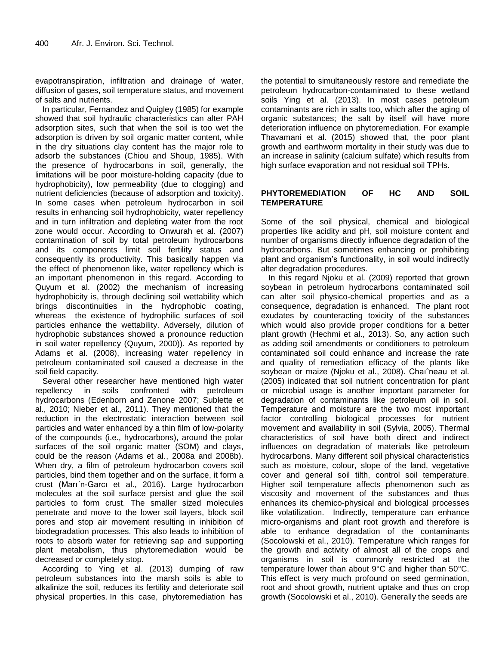evapotranspiration, infiltration and drainage of water, diffusion of gases, soil temperature status, and movement of salts and nutrients.

In particular, Fernandez and Quigley (1985) for example showed that soil hydraulic characteristics can alter PAH adsorption sites, such that when the soil is too wet the adsorption is driven by soil organic matter content, while in the dry situations clay content has the major role to adsorb the substances (Chiou and Shoup, 1985). With the presence of hydrocarbons in soil, generally, the limitations will be poor moisture-holding capacity (due to hydrophobicity), low permeability (due to clogging) and nutrient deficiencies (because of adsorption and toxicity). In some cases when petroleum hydrocarbon in soil results in enhancing soil hydrophobicity, water repellency and in turn infiltration and depleting water from the root zone would occur. According to Onwurah et al. (2007) contamination of soil by total petroleum hydrocarbons and its components limit soil fertility status and consequently its productivity. This basically happen via the effect of phenomenon like, water repellency which is an important phenomenon in this regard. According to Quyum et al. (2002) the mechanism of increasing hydrophobicity is, through declining soil wettability which brings discontinuities in the hydrophobic coating, whereas the existence of hydrophilic surfaces of soil particles enhance the wettability. Adversely, dilution of hydrophobic substances showed a pronounce reduction in soil water repellency (Quyum, 2000)). As reported by Adams et al. (2008), increasing water repellency in petroleum contaminated soil caused a decrease in the soil field capacity.

Several other researcher have mentioned high water repellency in soils confronted with petroleum hydrocarbons (Edenborn and Zenone 2007; Sublette et al., 2010; Nieber et al., 2011). They mentioned that the reduction in the electrostatic interaction between soil particles and water enhanced by a thin film of low-polarity of the compounds (i.e., hydrocarbons), around the polar surfaces of the soil organic matter (SOM) and clays, could be the reason (Adams et al., 2008a and 2008b). When dry, a film of petroleum hydrocarbon covers soil particles, bind them together and on the surface, it form a crust (Marı´n-Garcı et al., 2016). Large hydrocarbon molecules at the soil surface persist and glue the soil particles to form crust. The smaller sized molecules penetrate and move to the lower soil layers, block soil pores and stop air movement resulting in inhibition of biodegradation processes. This also leads to inhibition of roots to absorb water for retrieving sap and supporting plant metabolism, thus phytoremediation would be decreased or completely stop.

According to Ying et al. (2013) dumping of raw petroleum substances into the marsh soils is able to alkalinize the soil, reduces its fertility and deteriorate soil physical properties. In this case, phytoremediation has

the potential to simultaneously restore and remediate the petroleum hydrocarbon-contaminated to these wetland soils Ying et al. (2013). In most cases petroleum contaminants are rich in salts too, which after the aging of organic substances; the salt by itself will have more deterioration influence on phytoremediation. For example Thavamani et al. (2015) showed that, the poor plant growth and earthworm mortality in their study was due to an increase in salinity (calcium sulfate) which results from high surface evaporation and not residual soil TPHs.

#### **PHYTOREMEDIATION OF HC AND SOIL TEMPERATURE**

Some of the soil physical, chemical and biological properties like acidity and pH, soil moisture content and number of organisms directly influence degradation of the hydrocarbons. But sometimes enhancing or prohibiting plant and organism's functionality, in soil would indirectly alter degradation procedures.

In this regard Njoku et al. (2009) reported that grown soybean in petroleum hydrocarbons contaminated soil can alter soil physico-chemical properties and as a consequence, degradation is enhanced. The plant root exudates by counteracting toxicity of the substances which would also provide proper conditions for a better plant growth (Hechmi et al., 2013). So, any action such as adding soil amendments or conditioners to petroleum contaminated soil could enhance and increase the rate and quality of remediation efficacy of the plants like soybean or maize (Njoku et al., 2008). Chaıˆneau et al. (2005) indicated that soil nutrient concentration for plant or microbial usage is another important parameter for degradation of contaminants like petroleum oil in soil. Temperature and moisture are the two most important factor controlling biological processes for nutrient movement and availability in soil (Sylvia, 2005). Thermal characteristics of soil have both direct and indirect influences on degradation of materials like petroleum hydrocarbons. Many different soil physical characteristics such as moisture, colour, slope of the land, vegetative cover and general soil tilth, control soil temperature. Higher soil temperature affects phenomenon such as viscosity and movement of the substances and thus enhances its chemico-physical and biological processes like volatilization. Indirectly, temperature can enhance micro-organisms and plant root growth and therefore is able to enhance degradation of the contaminants (Socolowski et al., 2010). Temperature which ranges for the growth and activity of almost all of the crops and organisms in soil is commonly restricted at the temperature lower than about 9°C and higher than 50°C. This effect is very much profound on seed germination, root and shoot growth, nutrient uptake and thus on crop growth (Socolowski et al., 2010). Generally the seeds are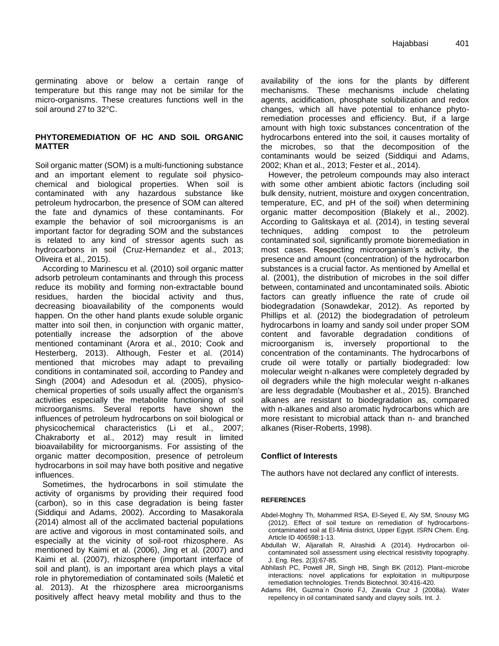germinating above or below a certain range of temperature but this range may not be similar for the micro-organisms. These creatures functions well in the soil around 27 to 32°C.

#### **PHYTOREMEDIATION OF HC AND SOIL ORGANIC MATTER**

Soil organic matter (SOM) is a multi-functioning substance and an important element to regulate soil physicochemical and biological properties. When soil is contaminated with any hazardous substance like petroleum hydrocarbon, the presence of SOM can altered the fate and dynamics of these contaminants. For example the behavior of soil microorganisms is an important factor for degrading SOM and the substances is related to any kind of stressor agents such as hydrocarbons in soil (Cruz-Hernandez et al., 2013; Oliveira et al., 2015).

According to Marinescu et al. (2010) soil organic matter adsorb petroleum contaminants and through this process reduce its mobility and forming non-extractable bound residues, harden the biocidal activity and thus, decreasing bioavailability of the components would happen. On the other hand plants exude soluble organic matter into soil then, in conjunction with organic matter, potentially increase the adsorption of the above mentioned contaminant (Arora et al., 2010; Cook and Hesterberg, 2013). Although, Fester et al. (2014) mentioned that microbes may adapt to prevailing conditions in contaminated soil, according to Pandey and Singh (2004) and Adesodun et al. (2005), physicochemical properties of soils usually affect the organism's activities especially the metabolite functioning of soil microorganisms. Several reports have shown the influences of petroleum hydrocarbons on soil biological or physicochemical characteristics (Li et al., 2007; Chakraborty et al., 2012) may result in limited bioavailability for microorganisms. For assisting of the organic matter decomposition, presence of petroleum hydrocarbons in soil may have both positive and negative influences.

Sometimes, the hydrocarbons in soil stimulate the activity of organisms by providing their required food (carbon), so in this case degradation is being faster (Siddiqui and Adams, 2002). According to Masakorala (2014) almost all of the acclimated bacterial populations are active and vigorous in most contaminated soils, and especially at the vicinity of soil-root rhizosphere. As mentioned by Kaimi et al. (2006), Jing et al. (2007) and Kaimi et al. (2007), rhizosphere (important interface of soil and plant), is an important area which plays a vital role in phytoremediation of contaminated soils (Maletić et al. 2013). At the rhizosphere area microorganisms positively affect heavy metal mobility and thus to the

availability of the ions for the plants by different mechanisms. These mechanisms include chelating agents, acidification, phosphate solubilization and redox changes, which all have potential to enhance phytoremediation processes and efficiency. But, if a large amount with high toxic substances concentration of the hydrocarbons entered into the soil, it causes mortality of the microbes, so that the decomposition of the contaminants would be seized (Siddiqui and Adams, 2002; Khan et al., 2013; Fester et al., 2014).

However, the petroleum compounds may also interact with some other ambient abiotic factors (including soil bulk density, nutrient, moisture and oxygen concentration, temperature, EC, and pH of the soil) when determining organic matter decomposition (Blakely et al., 2002). According to Galitskaya et al. (2014), in testing several techniques, adding compost to the petroleum contaminated soil, significantly promote bioremediation in most cases. Respecting microorganism's activity, the presence and amount (concentration) of the hydrocarbon substances is a crucial factor. As mentioned by Amellal et al. (2001), the distribution of microbes in the soil differ between, contaminated and uncontaminated soils. Abiotic factors can greatly influence the rate of crude oil biodegradation (Sonawdekar, 2012). As reported by Phillips et al. (2012) the biodegradation of petroleum hydrocarbons in loamy and sandy soil under proper SOM content and favorable degradation conditions of microorganism is, inversely proportional to the concentration of the contaminants. The hydrocarbons of crude oil were totally or partially biodegraded: low molecular weight n-alkanes were completely degraded by oil degraders while the high molecular weight n-alkanes are less degradable (Moubasher et al., 2015). Branched alkanes are resistant to biodegradation as, compared with n-alkanes and also aromatic hydrocarbons which are more resistant to microbial attack than n- and branched alkanes (Riser-Roberts, 1998).

#### **Conflict of Interests**

The authors have not declared any conflict of interests.

#### **REFERENCES**

- Abdel-Moghny Th, Mohammed RSA, El-Seyed E, Aly SM, Snousy MG (2012). Effect of soil texture on remediation of hydrocarbonscontaminated soil at El-Minia district, Upper Egypt. ISRN Chem. Eng. Article ID 406598:1-13.
- Abdullah W, Aljarallah R, Alrashidi A (2014). Hydrocarbon oilcontaminated soil assessment using electrical resistivity topography. J. Eng. Res. 2(3):67-85.
- Abhilash PC, Powell JR, Singh HB, Singh BK (2012). Plant–microbe interactions: novel applications for exploitation in multipurpose remediation technologies. Trends Biotechnol. 30:416-420.
- Adams RH, Guzma´n Osorio FJ, Zavala Cruz J (2008a). Water repellency in oil contaminated sandy and clayey soils. Int. J.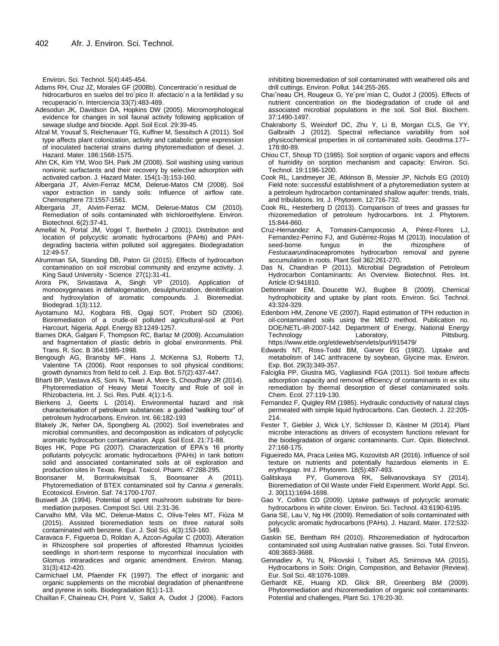Environ. Sci. Technol. 5(4):445-454.

- Adams RH, Cruz JZ, Morales GF (2008b). Concentracio´n residual de hidrocarburos en suelos del tro´pico II: afectacio´n a la fertilidad y su recuperacio´n. Interciencia 33(7):483-489.
- Adesodun JK, Davidson DA, Hopkins DW (2005). Micromorphological evidence for changes in soil faunal activity following application of sewage sludge and biocide. Appl. Soil Ecol. 29:39-45.
- Afzal M, Yousaf S, Reichenauer TG, Kuffner M, Sessitsch A (2011). Soil type affects plant colonization, activity and catabolic gene expression of inoculated bacterial strains during phytoremediation of diesel. J. Hazard. Mater. 186:1568-1575.
- Ahn CK, Kim YM, Woo SH, Park JM (2008). Soil washing using various nonionic surfactants and their recovery by selective adsorption with activated carbon. J. Hazard Mater. 154(1-3):153-160.
- Albergaria JT, Alvim-Ferraz MCM, Delerue-Matos CM (2008). Soil vapor extraction in sandy soils: Influence of airflow rate. Chemosphere 73:1557-1561.
- Albergaria JT, Alvim-Ferraz MCM, Delerue-Matos CM (2010). Remediation of soils contaminated with trichloroethylene. Environ. Biotechnol. 6(2):37-41.
- Amellal N, Portal JM, Vogel T, Berthelin J (2001). Distribution and location of polycyclic aromatic hydrocarbons (PAHs) and PAHdegrading bacteria within polluted soil aggregates. Biodegradation 12:49-57.
- Alrumman SA, Standing DB, Paton GI (2015). Effects of hydrocarbon contamination on soil microbial community and enzyme activity. J. King Saud University - Science 27(1):31-41.
- Arora PK, Srivastava A, Singh VP (2010). Application of monooxygenases in dehalogenation, desulphurization, denitrification and hydroxylation of aromatic compounds. J. Bioremediat. Biodegrad. 1(3):112.
- Ayotamuno MJ, Kogbara RB, Ogaji SOT, Probert SD (2006). Bioremediation of a crude-oil polluted agricultural-soil at Port Harcourt, Nigeria. Appl. Energy 83:1249-1257.
- Barnes DKA, Galgani F, Thompson RC, Barlaz M (2009). Accumulation and fragmentation of plastic debris in global environments. Phil. Trans. R. Soc. B 364:1985-1998.
- Bengough AG, Bransby MF, Hans J, McKenna SJ, Roberts TJ, Valentine TA (2006). Root responses to soil physical conditions; growth dynamics from field to cell. J. Exp. Bot. 57(2):437-447.
- Bharti BP, Vastava AS, Soni N, Tiwari A, More S, Choudhary JR (2014). Phytoremediation of Heavy Metal Toxicity and Role of soil in Rhizobacteria. Int. J. Sci. Res. Publ. 4(1):1-5.
- Bierkens J, Geerts L (2014). Environmental hazard and risk characterisation of petroleum substances: a guided "walking tour" of petroleum hydrocarbons. Environ. Int. 66:182-193
- Blakely JK, Neher DA, Spongberg AL (2002). Soil invertebrates and microbial communities, and decomposition as indicators of polycyclic aromatic hydrocarbon contamination. Appl. Soil Ecol. 21:71-88.
- Bojes HK, Pope PG (2007). Characterization of EPA's 16 priority pollutants polycyclic aromatic hydrocarbons (PAHs) in tank bottom solid and associated contaminated soils at oil exploration and production sites in Texas. Regul. Toxicol. Pharm. 47:288-295.
- Boonsaner M, Borrirukwisitsak S, Boonsaner A (2011). Phytoremediation of BTEX contaminated soil by *Canna x generalis*. Ecotoxicol. Environ. Saf. 74:1700-1707.
- Buswell JA (1994). Potential of spent mushroom substrate for bioremediation purposes. Compost Sci. Util. 2:31-36.
- Carvalho MM, Vila MC, Delerue-Matos C, Oliva-Teles MT, Fiúza M (2015). Assisted bioremediation tests on three natural soils contaminated with benzene. Eur. J. Soil Sci. 4(3):153-160.
- Caravaca F, Figueroa D, Roldan A, Azcon-Aguilar C (2003). Alteration in Rhizosphere soil properties of afforested Rhamnus lycioides seedlings in short-term response to mycorrhizal inoculation with Glomus intraradices and organic amendment. Environ. Manag. 31(3):412-420.
- Carmichael LM, Pfaender FK (1997). The effect of inorganic and organic supplements on the microbial degradation of phenanthrene and pyrene in soils. Biodegradation 8(1):1-13.

Chaillan F, Chaineau CH, Point V, Saliot A, Oudot J (2006). Factors

inhibiting bioremediation of soil contaminated with weathered oils and drill cuttings. Environ. Pollut. 144:255-265.

- Chaıˆneau CH, Rougeux G, Ye´pre´mian C, Oudot J (2005). Effects of nutrient concentration on the biodegradation of crude oil and associated microbial populations in the soil. Soil Biol. Biochem. 37:1490-1497.
- Chakraborty S, Weindorf DC, Zhu Y, Li B, Morgan CLS, Ge YY, Galbraith J (2012). Spectral reflectance variability from soil physicochemical properties in oil contaminated soils. Geodrma.177– 178:80-89.
- Chiou CT, Shoup TD (1985). Soil sorption of organic vapors and effects of humidity on sorption mechanism and capacity: Environ. Sci. Technol. 19:1196-1200.
- Cook RL, Landmeyer JE, Atkinson B, Messier JP, Nichols EG (2010) Field note: successful establishment of a phytoremediation system at a petroleum hydrocarbon contaminated shallow aquifer: trends, trials, and tribulations. Int. J. Phytorem. 12:716-732.
- Cook RL, Hesterberg D (2013). Comparison of trees and grasses for rhizoremediation of petroleum hydrocarbons. Int. J. Phytorem. 15:844-860.
- Cruz-Hernandez A, Tomasini-Campocosio A, Pérez-Flores LJ, Fernandez-Perrino FJ, and Gutiérrez-Rojas M (2013). Inoculation of seed-borne fungus in the rhizosphere of *Festucaarundinacea*promotes hydrocarbon removal and pyrene accumulation in roots. Plant Soil 362:261-270.
- Das N, Chandran P (2011). Microbial Degradation of Petroleum Hydrocarbon Contaminants: An Overview. Biotechnol. Res. Int. Article ID:941810.
- Dettenmaier EM, Doucette WJ, Bugbee B (2009). Chemical hydrophobicity and uptake by plant roots. Environ. Sci. Technol. 43:324-329.
- Edenborn HM, Zenone VE (2007). Rapid estimation of TPH reduction in oil-contaminated soils using the MED method. Publication no. DOE/NETL-IR-2007-142. Department of Energy, National Energy Technology **Laboratory**, **Pittsburg.** https://www.etde.org/etdeweb/servlets/purl/915479/
- Edwards NT, Ross-Todd BM, Garver EG (1982). Uptake and metabolism of 14C anthracene by soybean, Glycine max. Environ. Exp. Bot. 29(3):349-357.
- Falciglia PP, Giustra MG, Vagliasindi FGA (2011). Soil texture affects adsorption capacity and removal efficiency of contaminants in ex situ remediation by thermal desorption of diesel contaminated soils. Chem. Ecol. 27:119-130.
- Fernandez F, Quigley RM (1985). Hydraulic conductivity of natural clays permeated with simple liquid hydrocarbons. Can. Geotech. J. 22:205- 214.
- Fester T, Giebler J, Wick LY, Schlosser D, Kästner M (2014). Plant microbe interactions as drivers of ecosystem functions relevant for the biodegradation of organic contaminants. Curr. Opin. Biotechnol. 27:168-175.
- Figueiredo MA, Praca Leitea MG, Kozovitsb AR (2016). Influence of soil texture on nutrients and potentially hazardous elements in E. *erythropap*. Int J. Phytorem. 18(5):487-493.
- Galitskaya PY, Gumerova RK, Selivanovskaya SY (2014). **Bioremediation of Oil Waste under Field Experiment. World Appl. Sci.** J. 30(11):1694-1698.
- Gao Y, Collins CD (2009). Uptake pathways of polycyclic aromatic hydrocarbons in white clover. Environ. Sci. Technol. 43:6190-6195.
- Gana SE, Lau V, Ng HK (2009). Remediation of soils contaminated with polycyclic aromatic hydrocarbons (PAHs). J. Hazard. Mater. 172:532- 549.
- Gaskin SE, Bentham RH (2010). Rhizoremediation of hydrocarbon contaminated soil using Australian native grasses. Sci. Total Environ. 408:3683-3688.
- Gennadiev A, Yu N, Pikovskii I, Tsibart AS, Smirnova MA (2015). Hydrocarbons in Soils: Origin, Composition, and Behavior (Review). Eur. Soil Sci. 48:1076-1089.
- Gerhardt KE, Huang XD, Glick BR, Greenberg BM (2009). Phytoremediation and rhizoremediation of organic soil contaminants: Potential and challenges, Plant Sci. 176:20-30.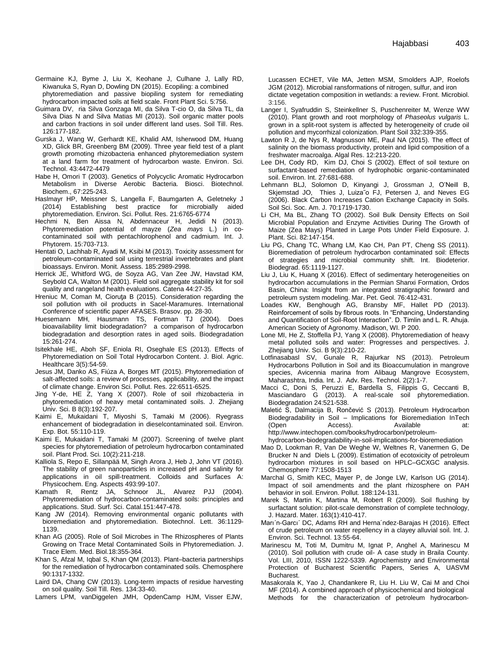- Germaine KJ, Byme J, Liu X, Keohane J, Culhane J, Lally RD, Kiwanuka S, Ryan D, Dowling DN (2015). Ecopiling: a combined phytoremediation and passive biopiling system for remediating hydrocarbon impacted soils at field scale. Front Plant Sci. 5:756.
- Guimara DV, ria Silva Gonzaga MI, da Silva T-cio O, da Silva TL, da Silva Dias N and Silva Matias MI (2013). Soil organic matter pools and carbon fractions in soil under different land uses. Soil Till. Res. 126:177-182.
- Gurska J, Wang W, Gerhardt KE, Khalid AM, Isherwood DM, Huang XD, Glick BR, Greenberg BM (2009). Three year field test of a plant growth promoting rhizobacteria enhanced phytoremediation system at a land farm for treatment of hydrocarbon waste. Environ. Sci. Technol. 43:4472-4479
- Habe H, Omori T (2003). Genetics of Polycyclic Aromatic Hydrocarbon Metabolism in Diverse Aerobic Bacteria. Biosci. Biotechnol. Biochem., 67:225-243.
- Haslmayr HP, Meissner S, Langella F, Baumgarten A, Geletneky J (2014) Establishing best practice for microbially aided phytoremediation. Environ. Sci. Pollut. Res. 21:6765-6774
- Hechmi N, Ben Aissa N, Abdennaceur H, Jedidi N (2013). Phytoremediation potential of mayze (*Zea mays* L.) in cocontaminated soil with pentachlorophenol and cadmium. Int. J. Phytorem. 15:703-713.
- Hentati O, Lachhab R, Ayadi M, Ksibi M (2013). Toxicity assessment for petroleum-contaminated soil using terrestrial invertebrates and plant bioassays. Environ. Monit. Assess. 185:2989-2998.
- Herrick JE, Whitford WG, de Soyza AG, Van Zee JW, Havstad KM, Seybold CA, Walton M (2001). Field soil aggregate stability kit for soil quality and rangeland health evaluations. Catena 44:27-35.
- Hreniuc M, Coman M, Cioruţa B (2015). Consideration regarding the soil pollution with oil products in Sacel-Maramures. International Conference of scientific paper AFASES. Brasov. pp. 28-30.
- Huesemann MH, Hausmann TS, Fortman TJ (2004). Does bioavailability limit biodegradation? a comparison of hydrocarbon biodegradation and desorption rates in aged soils. Biodegradation 15:261-274.
- Isitekhale HE, Aboh SF, Eniola RI, Oseghale ES (2013). Effects of Phytoremediation on Soil Total Hydrocarbon Content. J. Biol. Agric. Healthcare 3(5):54-59.
- Jesus JM, Danko AS, Fiúza A, Borges MT (2015). Phytoremediation of salt-affected soils: a review of processes, applicability, and the impact of climate change. Environ Sci. Pollut. Res. 22:6511-6525.
- Jing Y-de, HE Z, Yang X (2007). Role of soil rhizobacteria in phytoremediation of heavy metal contaminated soils. J. Zhejiang Univ. Sci. B 8(3):192-207.
- Kaimi E, Mukaidani T, Miyoshi S, Tamaki M (2006). Ryegrass enhancement of biodegradation in dieselcontaminated soil. Environ. Exp. Bot. 55:110-119.
- Kaimi E, Mukaidani T, Tamaki M (2007). Screening of twelve plant species for phytoremediation of petroleum hydrocarbon contaminated soil. Plant Prod. Sci. 10(2):211-218.
- Kalliola S, Repo E, Sillanpää M, Singh Arora J, Heb J, John VT (2016). The stability of green nanoparticles in increased pH and salinity for applications in oil spill-treatment. Colloids and Surfaces A: Physicochem. Eng. Aspects 493:99-107.
- Kamath R, Rentz JA, Schnoor JL, Alvarez PJJ (2004). Phytoremediation of hydrocarbon-contaminated soils: principles and applications. Stud. Surf. Sci. Catal.151:447-478.
- Kang JW (2014). Removing environmental organic pollutants with bioremediation and phytoremediation. Biotechnol. Lett. 36:1129- 1139.
- Khan AG (2005). Role of Soil Microbes in The Rhizospheres of Plants Growing on Trace Metal Contaminated Soils in Phytoremediation. J. Trace Elem. Med. Biol.18:355-364.
- Khan S, Afzal M, Iqbal S, Khan QM (2013). Plant–bacteria partnerships for the remediation of hydrocarbon contaminated soils. Chemosphere 90:1317-1332.
- Laird DA, Chang CW (2013). Long-term impacts of residue harvesting on soil quality. Soil Till. Res. 134:33-40.
- Lamers LPM, vanDiggelen JMH, OpdenCamp HJM, Visser EJW,

Lucassen ECHET, Vile MA, Jetten MSM, Smolders AJP, Roelofs JGM (2012). Microbial ransformations of nitrogen, sulfur, and iron dictate vegetation composition in wetlands: a review. Front. Microbiol. 3:156.

- Langer I, Syafruddin S, Steinkellner S, Puschenreiter M, Wenze WW (2010). Plant growth and root morphology of *Phaseolus vulgaris* L. grown in a split-root system is affected by heterogeneity of crude oil pollution and mycorrhizal colonization. Plant Soil 332:339-355.
- Lawton R J, de Nys R, Magnusson ME, Paul NA (2015). The effect of salinity on the biomass productivity, protein and lipid composition of a freshwater macroalga. Algal Res. 12:213-220.
- Lee DH, Cody RD, Kim DJ, Choi S (2002). Effect of soil texture on surfactant-based remediation of hydrophobic organic-contaminated soil. Environ. Int. 27:681-688.
- Lehmann BLJ, Solomon D, Kinyangi J, Grossman J, O'Neill B, Skjemstad JO, Thies J, Luiza˜o FJ, Petersen J, and Neves EG (2006). Black Carbon Increases Cation Exchange Capacity in Soils. Soil Sci. Soc. Am. J. 70:1719-1730.
- Li CH, Ma BL, Zhang TO (2002). Soil Bulk Density Effects on Soil Microbial Population and Enzyme Activities During The Growth of Maize (Zea Mays) Planted in Large Pots Under Field Exposure. J. Plant. Sci. 82:147-154.
- Liu PG, Chang TC, Whang LM, Kao CH, Pan PT, Cheng SS (2011). Bioremediation of petroleum hydrocarbon contaminated soil: Effects of strategies and microbial community shift. Int. Biodeterior. Biodegrad. 65:1119-1127.
- Liu J, Liu K, Huang X (2016). Effect of sedimentary heterogeneities on hydrocarbon accumulations in the Permian Shanxi Formation, Ordos Basin, China: Insight from an integrated stratigraphic forward and petroleum system modeling. Mar. Pet. Geol. 76:412-431.
- Loades KW, Benghough AG, Bransby MF, Hallet PD (2013). Reinforcement of soils by fibrous roots. In "Enhancing, Understanding and Quantification of Soil-Root Interaction". D. Timlin and L. R. Ahuja. American Society of Agronomy. Madison, WI. P 200.
- Lone MI, He Z, Stoffella PJ, Yang X (2008). Phytoremediation of heavy metal polluted soils and water: Progresses and perspectives. J. Zhejiang Univ. Sci. B 9(3):210-22.
- Lotfinasabasl SV, Gunale R, Rajurkar NS (2013). Petroleum Hydrocarbons Pollution in Soil and its Bioaccumulation in mangrove species, Avicennia marina from Alibaug Mangrove Ecosystem, Maharashtra, India. Int. J. Adv. Res. Technol. 2(2):1-7.
- Macci C, Doni S, Peruzzi E, Bardella S, Filippis G, Ceccanti B, Masciandaro G (2013). A real-scale soil phytoremediation. Biodegradation 24:521-538.
- Maletić S, Dalmacija B, Rončević S (2013). Petroleum Hydrocarbon Biodegradability in Soil – Implications for Bioremediation InTech (Open Access). Available at: http://www.intechopen.com/books/hydrocarbon/petroleum-
- hydrocarbon-biodegradability-in-soil-implications-for-bioremediation Mao D, Lookman R, Van De Weghe W, Weltnes R, Vanermen G, De Brucker N and Diels L (2009). Estimation of ecotoxicity of petroleum hydrocarbon mixtures in soil based on HPLC–GCXGC analysis. Chemosphere 77:1508-1513
- Marchal G, Smith KEC, Mayer P, de Jonge LW, Karlson UG (2014). Impact of soil amendments and the plant rhizosphere on PAH behavior in soil. Environ. Pollut. 188:124-131.
- Marek S, Martin K, Martina M, Robert R (2009). Soil flushing by surfactant solution: pilot-scale demonstration of complete technology, J. Hazard. Mater. 163(1):410-417.
- Marı´n-Garcı´ DC, Adams RH and Herna´ndez-Barajas H (2016). Effect of crude petroleum on water repellency in a clayey alluvial soil. Int. J. Environ. Sci. Technol. 13:55-64.
- Marinescu M, Toti M, Dumitru M, Ignat P, Anghel A, Marinescu M (2010). Soil pollution with crude oil- A case study in Braila County. Vol. LIII, 2010, ISSN 1222-5339. Agrochemistry and Environmental Protection of Bucharest Scientific Papers, Series A, UASVM Bucharest.
- Masakorala K, Yao J, Chandankere R, Liu H. Liu W, Cai M and Choi MF (2014). A combined approach of physicochemical and biological Methods for the characterization of petroleum hydrocarbon-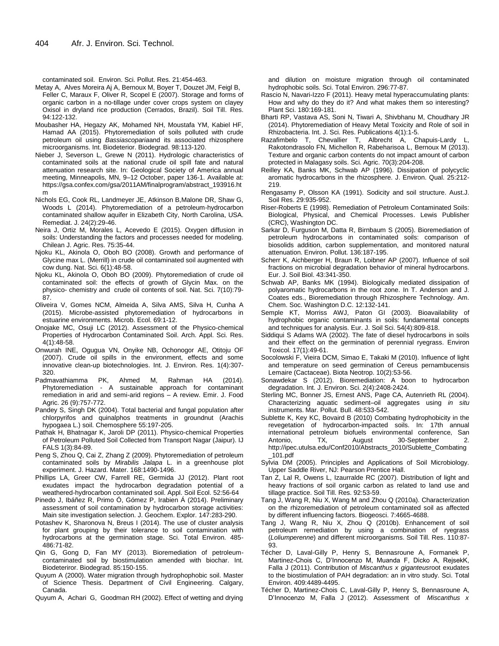contaminated soil. Environ. Sci. Pollut. Res. 21:454-463.

- Metay A, Alves Moreira Aj A, Bernoux M, Boyer T, Douzet JM, Feigl B, Feller C, Maraux F, Oliver R, Scopel E (2007). Storage and forms of organic carbon in a no-tillage under cover crops system on clayey Oxisol in dryland rice production (Cerrados, Brazil). Soil Till. Res. 94:122-132.
- Moubasher HA, Hegazy AK, Mohamed NH, Moustafa YM, Kabiel HF, Hamad AA (2015). Phytoremediation of soils polluted with crude petroleum oil using *Bassiascoparia*and its associated rhizosphere microorganisms. Int. Biodeterior. Biodegrad. 98:113-120.
- Nieber J, Severson L, Grewe N (2011). Hydrologic characteristics of contaminated soils at the national crude oil spill fate and natural attenuation research site. In: Geological Society of America annual meeting, Minneapolis, MN, 9–12 October, paper 136-1. Available at: https://gsa.confex.com/gsa/2011AM/finalprogram/abstract\_193916.ht m
- Nichols EG, Cook RL, Landmeyer JE, Atkinson B,Malone DR, Shaw G, Woods L (2014). Phytoremediation of a petroleum-hydrocarbon contaminated shallow aquifer in Elizabeth City, North Carolina, USA. Remediat. J. 24(2):29-46.
- Neira J, Ortiz M, Morales L, Acevedo E (2015). Oxygen diffusion in soils: Understanding the factors and processes needed for modeling. Chilean J. Agric. Res. 75:35-44.
- Njoku KL, Akinola O, Oboh BO (2008). Growth and performance of Glycine max L. (Merrill) in crude oil contaminated soil augmented with cow dung. Nat. Sci. 6(1):48-58.
- Njoku KL, Akinola O, Oboh BO (2009). Phytoremediation of crude oil contaminated soil: the effects of growth of Glycin Max. on the physico- chemistry and crude oil contents of soil. Nat. Sci. 7(10):79- 87.
- Oliveira V, Gomes NCM, Almeida A, Silva AMS, Silva H, Cunha A (2015). Microbe-assisted phytoremediation of hydrocarbons in estuarine environments. Microb. Ecol. 69:1-12.
- Onojake MC, Osuji LC (2012). Assessment of the Physico-chemical Properties of Hydrocarbon Contaminated Soil. Arch. Appl. Sci. Res. 4(1):48-58.
- Onwurah INE, Ogugua VN, Onyike NB, Ochonogor AE, Otitoju OF (2007). Crude oil spills in the environment, effects and some innovative clean-up biotechnologies. Int. J. Environ. Res. 1(4):307- 320.
- Padmavathiamma PK, Ahmed M, Rahman HA (2014). Phytoremediation - A sustainable approach for contaminant remediation in arid and semi-arid regions – A review. Emir. J. Food Agric. 26 (9):757-772.
- Pandey S, Singh DK (2004). Total bacterial and fungal population after chlorpyrifos and quinalphos treatments in groundnut (Arachis hypogaea L.) soil. Chemosphere 55:197-205.
- Pathak H, Bhatnagar K, Jaroli DP (2011). Physico-chemical Properties of Petroleum Polluted Soil Collected from Transport Nagar (Jaipur). IJ FALS 1(3):84-89.
- Peng S, Zhou Q, Cai Z, Zhang Z (2009). Phytoremediation of petroleum contaminated soils by *Mirabilis Jalapa* L. in a greenhouse plot experiment. J. Hazard. Mater. 168:1490-1496.
- Phillips LA, Greer CW, Farrell RE, Germida JJ (2012). Plant root exudates impact the hydrocarbon degradation potential of a weathered-hydrocarbon contaminated soil. Appl. Soil Ecol. 52:56-64
- Pinedo J, Ibáñez R, Primo Ó, Gómez P, Irabien Á (2014). Preliminary assessment of soil contamination by hydrocarbon storage activities: Main site investigation selection. J. Geochem. Explor. 147:283-290.
- Potashev K, Sharonova N, Breus I (2014). The use of cluster analysis for plant grouping by their tolerance to soil contamination with hydrocarbons at the germination stage. Sci. Total Environ. 485- 486:71-82.
- Qin G, Gong D, Fan MY (2013). Bioremediation of petroleumcontaminated soil by biostimulation amended with biochar. Int. Biodeteriror. Biodegrad. 85:150-155.
- Quyum A (2000). Water migration through hydrophophobic soil. Master of Science Thesis. Department of Civil Engineering. Calgary, Canada.

Quyum A, Achari G, Goodman RH (2002). Effect of wetting and drying

and dilution on moisture migration through oil contaminated hydrophobic soils. Sci. Total Environ. 296:77-87.

- Rascio N, Navari-Izzo F (2011). Heavy metal hyperaccumulating plants: How and why do they do it? And what makes them so interesting? Plant Sci. 180:169-181.
- Bharti RP, Vastava AS, Soni N, Tiwari A, Shivbhanu M, Choudhary JR (2014). Phytoremediation of Heavy Metal Toxicity and Role of soil in Rhizobacteria. Int. J. Sci. Res. Publications 4(1):1-5.
- Razafimbelo T, Chevallier T, Albrecht A, Chapuis-Lardy L, Rakotondrasolo FN, Michellon R, Rabeharisoa L, Bernoux M (2013). Texture and organic carbon contents do not impact amount of carbon protected in Malagasy soils. Sci. Agric. 70(3):204-208.
- Reilley KA, Banks MK, Schwab AP (1996). Dissipation of polycyclic aromatic hydrocarbons in the rhizosphere. J. Environ. Qual. 25:212- 219.
- Rengasamy P, Olsson KA (1991). Sodicity and soil structure. Aust.J. Soil Res. 29:935-952.
- Riser-Roberts E (1998). Remediation of Petroleum Contaminated Soils: Biological, Physical, and Chemical Processes. Lewis Publisher (CRC), Washington DC.
- Sarkar D, Furguson M, Datta R, Birnbaum S (2005). Bioremediation of petroleum hydrocarbons in contaminated soils: comparison of biosolids addition, carbon supplementation, and monitored natural attenuation. Environ. Pollut. 136:187-195.
- Scherr K, Aichberger H, Braun R, Loibner AP (2007). Influence of soil fractions on microbial degradation behavior of mineral hydrocarbons. Eur. J. Soil Biol. 43:341-350.
- Schwab AP, Banks MK (1994). Biologically mediated dissipation of polyaromatic hydrocarbons in the root zone. In T. Anderson and J. Coates eds., Bioremediation through Rhizosphere Technology. Am. Chem. Soc. Washington D.C. 12:132-141.
- Semple KT, Morriss AWJ, Paton GI (2003). Bioavailability of hydrophobic organic contaminants in soils: fundamental concepts and techniques for analysis. Eur. J. Soil Sci. 54(4):809-818.
- Siddiqui S Adams WA (2002). The fate of diesel hydrocarbons in soils and their effect on the germination of perennial ryegrass. Environ Toxicol. 17(1):49-61.
- Socolowski F, Vieira DCM, Simao E, Takaki M (2010). Influence of light and temperature on seed germination of Cereus pernambucensis Lemaire (Cactaceae). Biota Neotrop. 10(2):53-56.
- Sonawdekar S (2012). Bioremediation: A boon to hydrocarbon degradation. Int. J. Environ. Sci. 2(4):2408-2424.
- Sterling MC, Bonner JS, Ernest ANS, Page CA, Autenrieth RL (2004). Characterizing aquatic sediment–oil aggregates using *in situ* instruments. Mar. Pollut. Bull. 48:533-542.
- Sublette K, Key KC, Bovaird B (2010) Combating hydrophobicity in the revegetation of hydrocarbon-impacted soils. In: 17th annual international petroleum biofuels environmental conference, San Antonio, TX, August 30-September 2. http://ipec.utulsa.edu/Conf2010/Abstracts\_2010/Sublette\_Combating
- \_101.pdf
- Sylvia DM (2005). Principles and Applications of Soil Microbiology. Upper Saddle River, NJ: Pearson Prentice Hall.
- Tan Z, Lal R, Owens L, Izaurralde RC (2007). Distribution of light and heavy fractions of soil organic carbon as related to land use and tillage practice. Soil Till. Res. 92:53-59.
- Tang J, Wang R, Niu X, Wang M and Zhou Q (2010a). Characterization on the rhizoremediation of petroleum contaminated soil as affected by different influencing factors. Biogeosci. 7:4665-4688.
- Tang J, Wang R, Niu X, Zhou Q (2010b). Enhancement of soil petroleum remediation by using a combination of ryegrass (*Loliumperenne*) and different microorganisms. Soil Till. Res. 110:87- 93.
- Técher D, Laval-Gilly P, Henry S, Bennasroune A, Formanek P, Martinez-Chois C, D'Innocenzo M, Muanda F, Dicko A, RejsekK, Falla J (2011). Contribution of *Miscanthus x giganteus*root exudates to the biostimulation of PAH degradation: an in vitro study. Sci. Total Environ. 409:4489-4495.
- Técher D, Martinez-Chois C, Laval-Gilly P, Henry S, Bennasroune A, D'Innocenzo M, Falla J (2012). Assessment of *Miscanthus x*